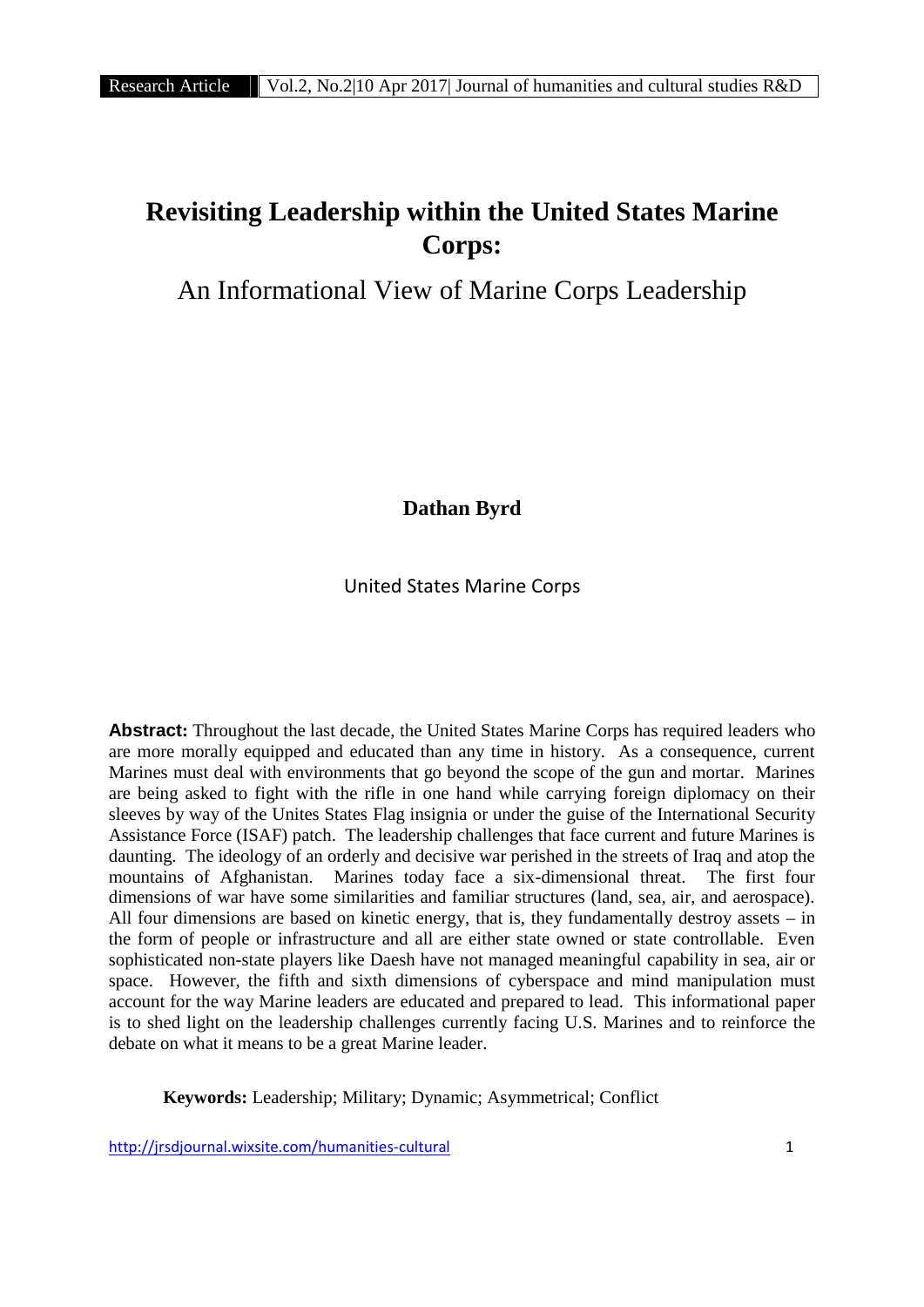# **Revisiting Leadership within the United States Marine Corps:**

An Informational View of Marine Corps Leadership

**Dathan Byrd**

United States Marine Corps

**Abstract:** Throughout the last decade, the United States Marine Corps has required leaders who are more morally equipped and educated than any time in history. As a consequence, current Marines must deal with environments that go beyond the scope of the gun and mortar. Marines are being asked to fight with the rifle in one hand while carrying foreign diplomacy on their sleeves by way of the Unites States Flag insignia or under the guise of the International Security Assistance Force (ISAF) patch. The leadership challenges that face current and future Marines is daunting. The ideology of an orderly and decisive war perished in the streets of Iraq and atop the mountains of Afghanistan. Marines today face a six-dimensional threat. The first four dimensions of war have some similarities and familiar structures (land, sea, air, and aerospace). All four dimensions are based on kinetic energy, that is, they fundamentally destroy assets – in the form of people or infrastructure and all are either state owned or state controllable. Even sophisticated non-state players like Daesh have not managed meaningful capability in sea, air or space. However, the fifth and sixth dimensions of cyberspace and mind manipulation must account for the way Marine leaders are educated and prepared to lead. This informational paper is to shed light on the leadership challenges currently facing U.S. Marines and to reinforce the debate on what it means to be a great Marine leader.

**Keywords:** Leadership; Military; Dynamic; Asymmetrical; Conflict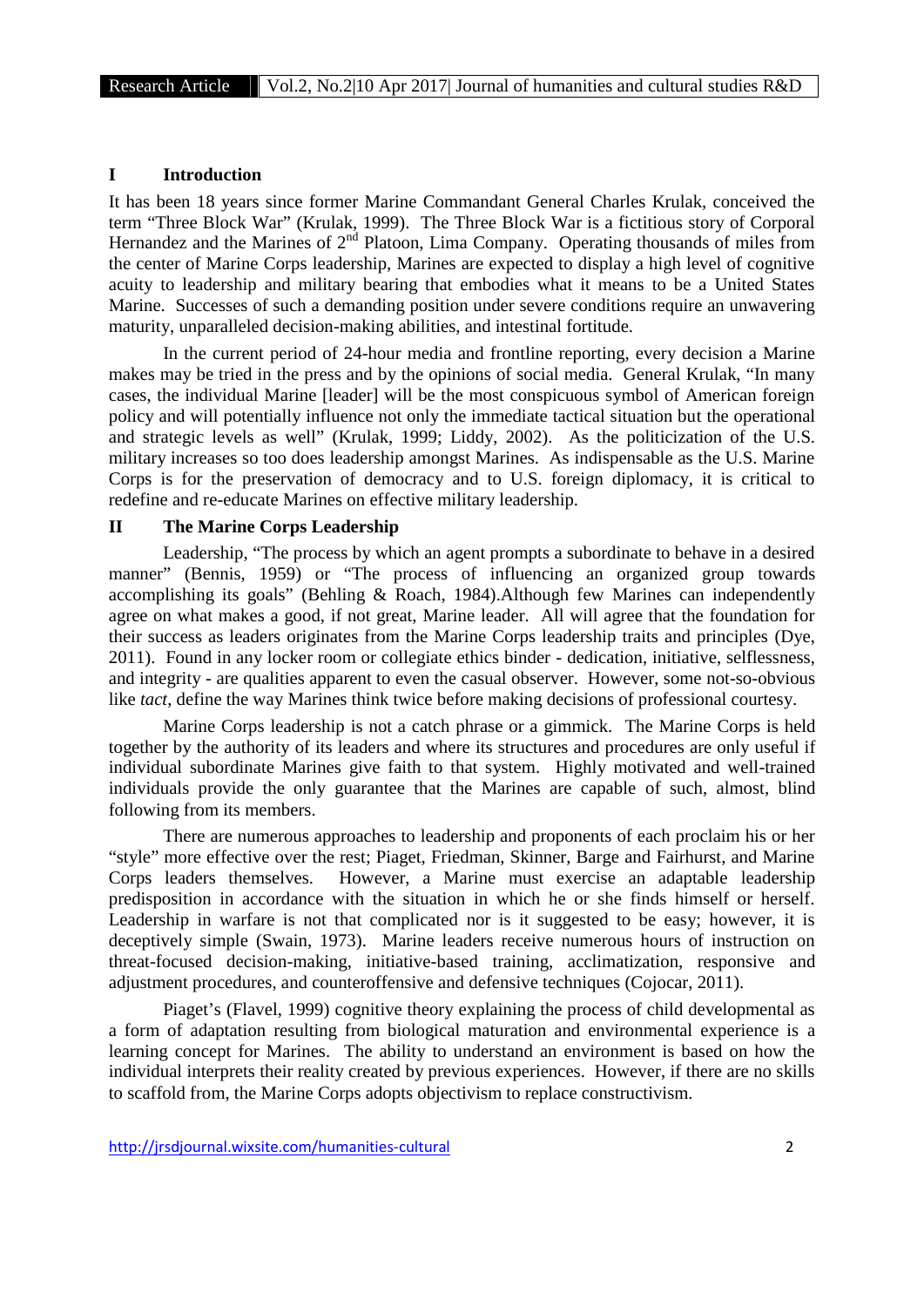# **I Introduction**

It has been 18 years since former Marine Commandant General Charles Krulak, conceived the term "Three Block War" (Krulak, 1999). The Three Block War is a fictitious story of Corporal Hernandez and the Marines of  $2<sup>nd</sup>$  Platoon, Lima Company. Operating thousands of miles from the center of Marine Corps leadership, Marines are expected to display a high level of cognitive acuity to leadership and military bearing that embodies what it means to be a United States Marine. Successes of such a demanding position under severe conditions require an unwavering maturity, unparalleled decision-making abilities, and intestinal fortitude.

In the current period of 24-hour media and frontline reporting, every decision a Marine makes may be tried in the press and by the opinions of social media. General Krulak, "In many cases, the individual Marine [leader] will be the most conspicuous symbol of American foreign policy and will potentially influence not only the immediate tactical situation but the operational and strategic levels as well" (Krulak, 1999; Liddy, 2002). As the politicization of the U.S. military increases so too does leadership amongst Marines. As indispensable as the U.S. Marine Corps is for the preservation of democracy and to U.S. foreign diplomacy, it is critical to redefine and re-educate Marines on effective military leadership.

#### **II The Marine Corps Leadership**

Leadership, "The process by which an agent prompts a subordinate to behave in a desired manner" (Bennis, 1959) or "The process of influencing an organized group towards accomplishing its goals" (Behling & Roach, 1984).Although few Marines can independently agree on what makes a good, if not great, Marine leader. All will agree that the foundation for their success as leaders originates from the Marine Corps leadership traits and principles (Dye, 2011). Found in any locker room or collegiate ethics binder - dedication, initiative, selflessness, and integrity - are qualities apparent to even the casual observer. However, some not-so-obvious like *tact*, define the way Marines think twice before making decisions of professional courtesy.

Marine Corps leadership is not a catch phrase or a gimmick. The Marine Corps is held together by the authority of its leaders and where its structures and procedures are only useful if individual subordinate Marines give faith to that system. Highly motivated and well-trained individuals provide the only guarantee that the Marines are capable of such, almost, blind following from its members.

There are numerous approaches to leadership and proponents of each proclaim his or her "style" more effective over the rest; Piaget, Friedman, Skinner, Barge and Fairhurst, and Marine Corps leaders themselves. However, a Marine must exercise an adaptable leadership predisposition in accordance with the situation in which he or she finds himself or herself. Leadership in warfare is not that complicated nor is it suggested to be easy; however, it is deceptively simple (Swain, 1973). Marine leaders receive numerous hours of instruction on threat-focused decision-making, initiative-based training, acclimatization, responsive and adjustment procedures, and counteroffensive and defensive techniques (Cojocar, 2011).

Piaget's (Flavel, 1999) cognitive theory explaining the process of child developmental as a form of adaptation resulting from biological maturation and environmental experience is a learning concept for Marines. The ability to understand an environment is based on how the individual interprets their reality created by previous experiences. However, if there are no skills to scaffold from, the Marine Corps adopts objectivism to replace constructivism.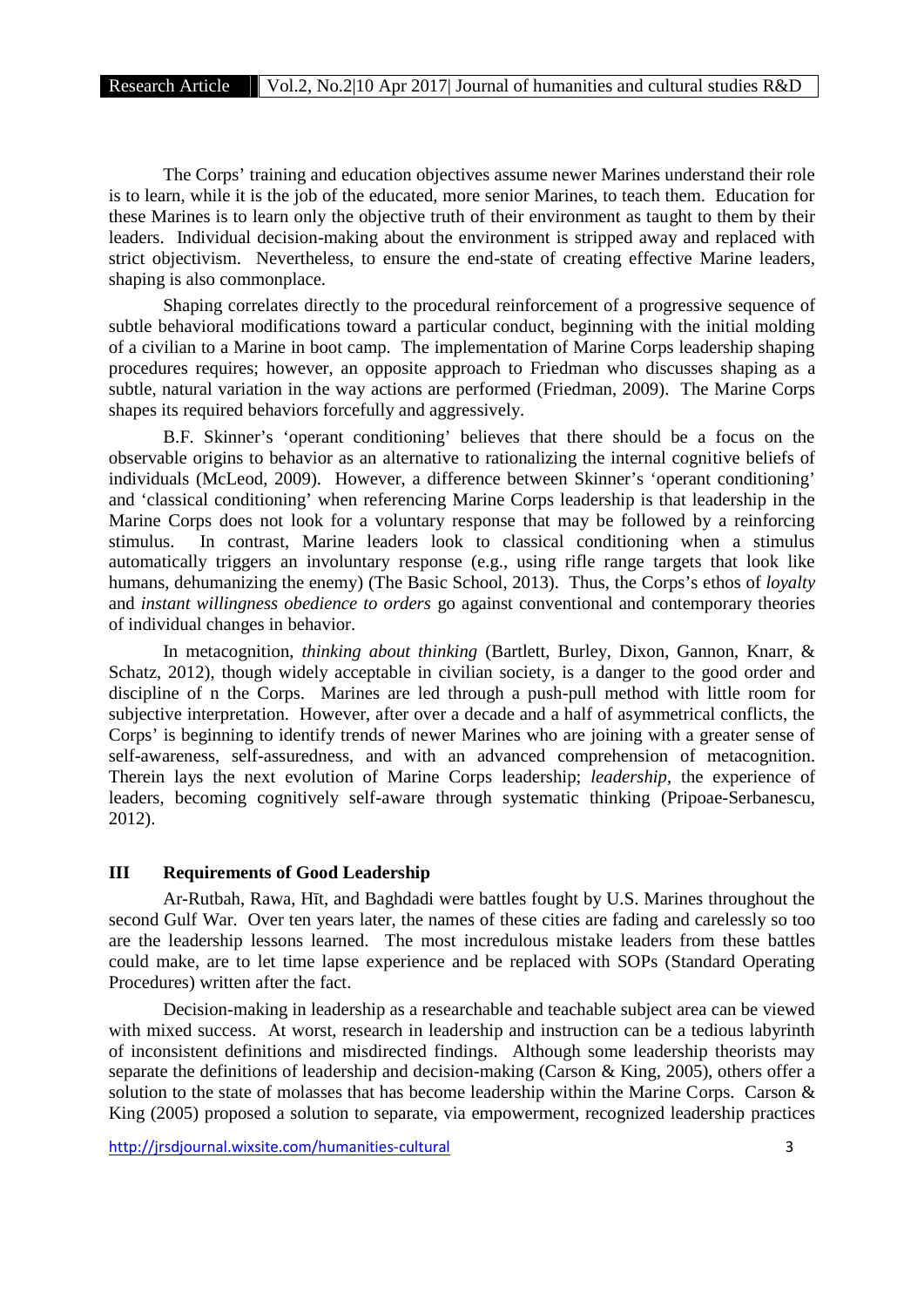The Corps' training and education objectives assume newer Marines understand their role is to learn, while it is the job of the educated, more senior Marines, to teach them. Education for these Marines is to learn only the objective truth of their environment as taught to them by their leaders. Individual decision-making about the environment is stripped away and replaced with strict objectivism. Nevertheless, to ensure the end-state of creating effective Marine leaders, shaping is also commonplace.

Shaping correlates directly to the procedural reinforcement of a progressive sequence of subtle behavioral modifications toward a particular conduct, beginning with the initial molding of a civilian to a Marine in boot camp. The implementation of Marine Corps leadership shaping procedures requires; however, an opposite approach to Friedman who discusses shaping as a subtle, natural variation in the way actions are performed (Friedman, 2009). The Marine Corps shapes its required behaviors forcefully and aggressively.

B.F. Skinner's 'operant conditioning' believes that there should be a focus on the observable origins to behavior as an alternative to rationalizing the internal cognitive beliefs of individuals (McLeod, 2009). However, a difference between Skinner's 'operant conditioning' and 'classical conditioning' when referencing Marine Corps leadership is that leadership in the Marine Corps does not look for a voluntary response that may be followed by a reinforcing stimulus. In contrast, Marine leaders look to classical conditioning when a stimulus automatically triggers an involuntary response (e.g., using rifle range targets that look like humans, dehumanizing the enemy) (The Basic School, 2013). Thus, the Corps's ethos of *loyalty* and *instant willingness obedience to orders* go against conventional and contemporary theories of individual changes in behavior.

In metacognition, *thinking about thinking* (Bartlett, Burley, Dixon, Gannon, Knarr, & Schatz, 2012), though widely acceptable in civilian society, is a danger to the good order and discipline of n the Corps. Marines are led through a push-pull method with little room for subjective interpretation. However, after over a decade and a half of asymmetrical conflicts, the Corps' is beginning to identify trends of newer Marines who are joining with a greater sense of self-awareness, self-assuredness, and with an advanced comprehension of metacognition. Therein lays the next evolution of Marine Corps leadership; *leadership*, the experience of leaders, becoming cognitively self-aware through systematic thinking (Pripoae-Serbanescu, 2012).

# **III Requirements of Good Leadership**

Ar-Rutbah, Rawa, H t, and Baghdadi were battles fought by U.S. Marines throughout the second Gulf War. Over ten years later, the names of these cities are fading and carelessly so too are the leadership lessons learned. The most incredulous mistake leaders from these battles could make, are to let time lapse experience and be replaced with SOPs (Standard Operating Procedures) written after the fact.

Decision-making in leadership as a researchable and teachable subject area can be viewed with mixed success. At worst, research in leadership and instruction can be a tedious labyrinth of inconsistent definitions and misdirected findings. Although some leadership theorists may separate the definitions of leadership and decision-making (Carson & King, 2005), others offer a solution to the state of molasses that has become leadership within the Marine Corps. Carson & King (2005) proposed a solution to separate, via empowerment, recognized leadership practices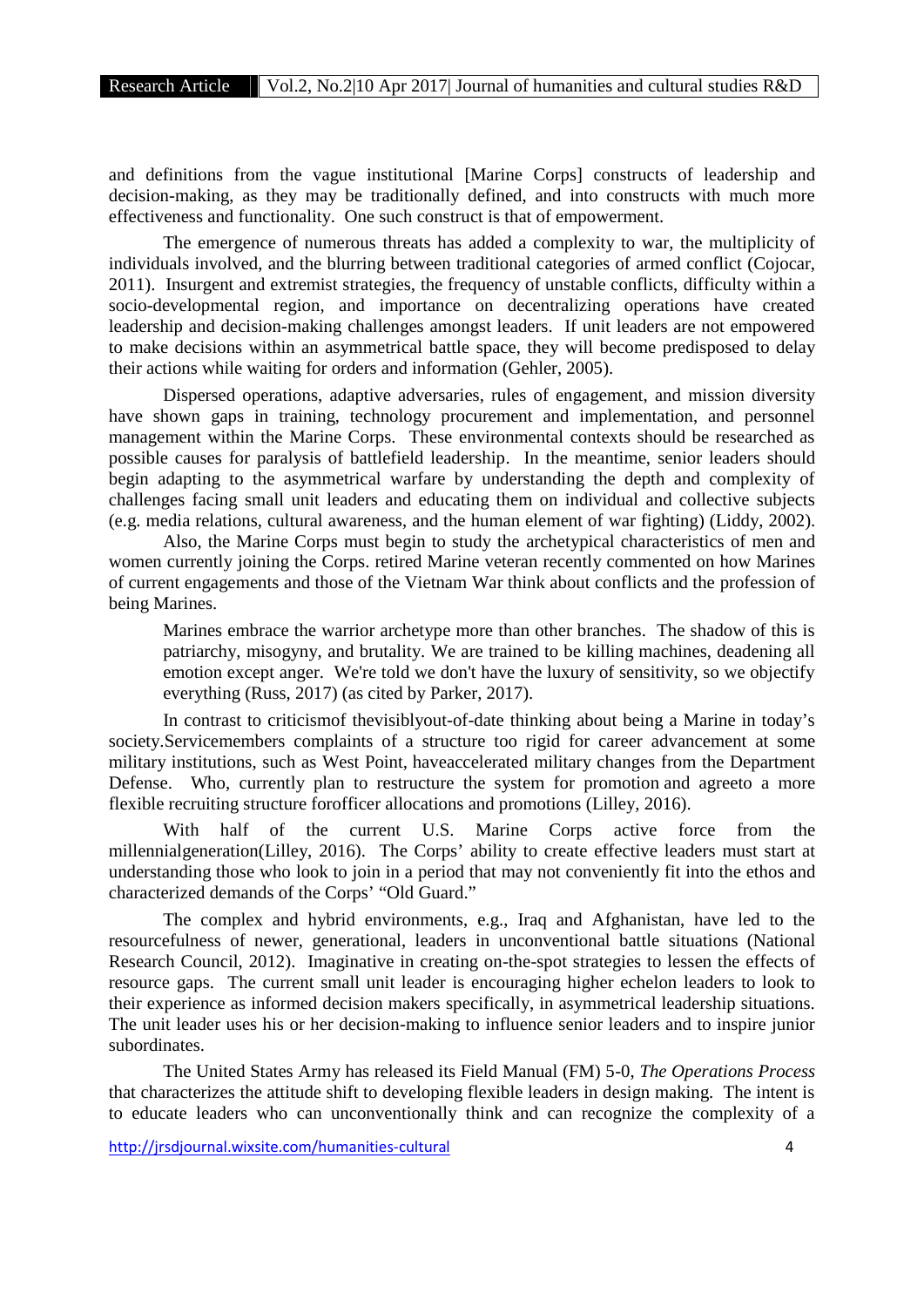and definitions from the vague institutional [Marine Corps] constructs of leadership and decision-making, as they may be traditionally defined, and into constructs with much more effectiveness and functionality. One such construct is that of empowerment.

The emergence of numerous threats has added a complexity to war, the multiplicity of individuals involved, and the blurring between traditional categories of armed conflict (Cojocar, 2011). Insurgent and extremist strategies, the frequency of unstable conflicts, difficulty within a socio-developmental region, and importance on decentralizing operations have created leadership and decision-making challenges amongst leaders. If unit leaders are not empowered to make decisions within an asymmetrical battle space, they will become predisposed to delay their actions while waiting for orders and information (Gehler, 2005).

Dispersed operations, adaptive adversaries, rules of engagement, and mission diversity have shown gaps in training, technology procurement and implementation, and personnel management within the Marine Corps. These environmental contexts should be researched as possible causes for paralysis of battlefield leadership. In the meantime, senior leaders should begin adapting to the asymmetrical warfare by understanding the depth and complexity of challenges facing small unit leaders and educating them on individual and collective subjects (e.g. media relations, cultural awareness, and the human element of war fighting) (Liddy, 2002).

Also, the Marine Corps must begin to study the archetypical characteristics of men and women currently joining the Corps. retired Marine veteran recently commented on how Marines of current engagements and those of the Vietnam War think about conflicts and the profession of being Marines.

Marines embrace the warrior archetype more than other branches. The shadow of this is patriarchy, misogyny, and brutality. We are trained to be killing machines, deadening all emotion except anger. We're told we don't have the luxury of sensitivity, so we objectify everything (Russ, 2017) (as cited by Parker, 2017).

In contrast to criticismof thevisiblyout-of-date thinking about being a Marine in today's society.Servicemembers complaints of a structure too rigid for career advancement at some military institutions, such as West Point, haveaccelerated military changes from the Department Defense. Who, currently plan to restructure the system for promotion and agreeto a more flexible recruiting structure forofficer allocations and promotions (Lilley, 2016).

With half of the current U.S. Marine Corps active force from the millennialgeneration(Lilley, 2016). The Corps' ability to create effective leaders must start at understanding those who look to join in a period that may not conveniently fit into the ethos and characterized demands of the Corps' "Old Guard."

The complex and hybrid environments, e.g., Iraq and Afghanistan, have led to the resourcefulness of newer, generational, leaders in unconventional battle situations (National Research Council, 2012). Imaginative in creating on-the-spot strategies to lessen the effects of resource gaps. The current small unit leader is encouraging higher echelon leaders to look to their experience as informed decision makers specifically, in asymmetrical leadership situations. The unit leader uses his or her decision-making to influence senior leaders and to inspire junior subordinates.

The United States Army has released its Field Manual (FM) 5-0, *The Operations Process* that characterizes the attitude shift to developing flexible leaders in design making. The intent is to educate leaders who can unconventionally think and can recognize the complexity of a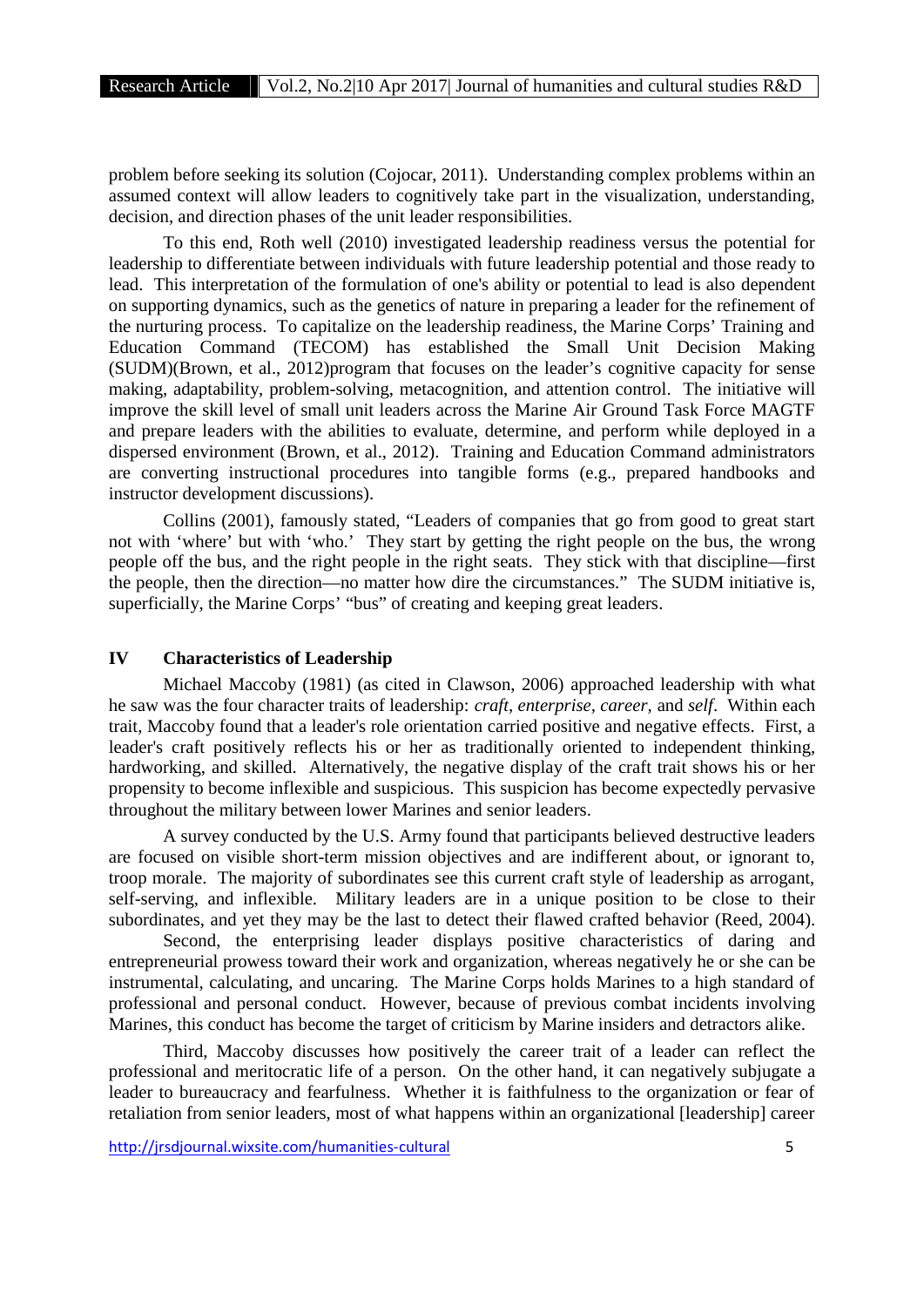problem before seeking its solution (Cojocar, 2011). Understanding complex problems within an assumed context will allow leaders to cognitively take part in the visualization, understanding, decision, and direction phases of the unit leader responsibilities.

To this end, Roth well (2010) investigated leadership readiness versus the potential for leadership to differentiate between individuals with future leadership potential and those ready to lead. This interpretation of the formulation of one's ability or potential to lead is also dependent on supporting dynamics, such as the genetics of nature in preparing a leader for the refinement of the nurturing process. To capitalize on the leadership readiness, the Marine Corps' Training and Education Command (TECOM) has established the Small Unit Decision Making (SUDM)(Brown, et al., 2012)program that focuses on the leader's cognitive capacity for sense making, adaptability, problem-solving, metacognition, and attention control. The initiative will improve the skill level of small unit leaders across the Marine Air Ground Task Force MAGTF and prepare leaders with the abilities to evaluate, determine, and perform while deployed in a dispersed environment (Brown, et al., 2012). Training and Education Command administrators are converting instructional procedures into tangible forms (e.g., prepared handbooks and instructor development discussions).

Collins (2001), famously stated, "Leaders of companies that go from good to great start not with 'where' but with 'who.' They start by getting the right people on the bus, the wrong people off the bus, and the right people in the right seats. They stick with that discipline—first the people, then the direction—no matter how dire the circumstances." The SUDM initiative is, superficially, the Marine Corps' "bus" of creating and keeping great leaders.

# **IV Characteristics of Leadership**

Michael Maccoby (1981) (as cited in Clawson, 2006) approached leadership with what he saw was the four character traits of leadership: *craft, enterprise, career,* and *self*. Within each trait, Maccoby found that a leader's role orientation carried positive and negative effects. First, a leader's craft positively reflects his or her as traditionally oriented to independent thinking, hardworking, and skilled. Alternatively, the negative display of the craft trait shows his or her propensity to become inflexible and suspicious. This suspicion has become expectedly pervasive throughout the military between lower Marines and senior leaders.

A survey conducted by the U.S. Army found that participants believed destructive leaders are focused on visible short-term mission objectives and are indifferent about, or ignorant to, troop morale. The majority of subordinates see this current craft style of leadership as arrogant, self-serving, and inflexible. Military leaders are in a unique position to be close to their subordinates, and yet they may be the last to detect their flawed crafted behavior (Reed, 2004).

Second, the enterprising leader displays positive characteristics of daring and entrepreneurial prowess toward their work and organization, whereas negatively he or she can be instrumental, calculating, and uncaring. The Marine Corps holds Marines to a high standard of professional and personal conduct. However, because of previous combat incidents involving Marines, this conduct has become the target of criticism by Marine insiders and detractors alike.

Third, Maccoby discusses how positively the career trait of a leader can reflect the professional and meritocratic life of a person. On the other hand, it can negatively subjugate a leader to bureaucracy and fearfulness. Whether it is faithfulness to the organization or fear of retaliation from senior leaders, most of what happens within an organizational [leadership] career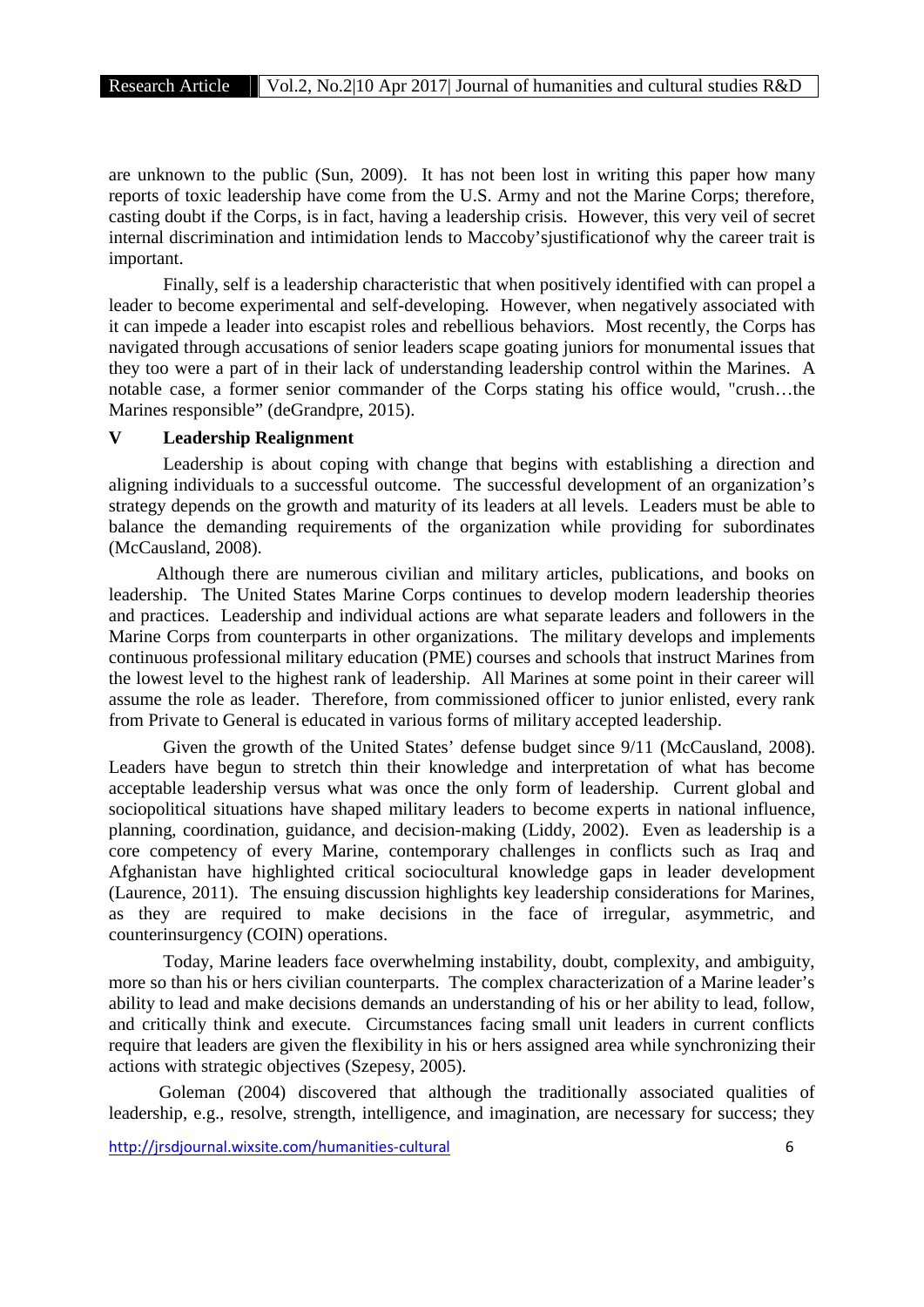are unknown to the public (Sun, 2009). It has not been lost in writing this paper how many reports of toxic leadership have come from the U.S. Army and not the Marine Corps; therefore, casting doubt if the Corps, is in fact, having a leadership crisis. However, this very veil of secret internal discrimination and intimidation lends to Maccoby'sjustificationof why the career trait is important.

Finally, self is a leadership characteristic that when positively identified with can propel a leader to become experimental and self-developing. However, when negatively associated with it can impede a leader into escapist roles and rebellious behaviors. Most recently, the Corps has navigated through accusations of senior leaders scape goating juniors for monumental issues that they too were a part of in their lack of understanding leadership control within the Marines. A notable case, a former senior commander of the Corps stating his office would, "crush…the Marines responsible" (deGrandpre, 2015).

#### **V Leadership Realignment**

Leadership is about coping with change that begins with establishing a direction and aligning individuals to a successful outcome. The successful development of an organization's strategy depends on the growth and maturity of its leaders at all levels. Leaders must be able to balance the demanding requirements of the organization while providing for subordinates (McCausland, 2008).

Although there are numerous civilian and military articles, publications, and books on leadership. The United States Marine Corps continues to develop modern leadership theories and practices. Leadership and individual actions are what separate leaders and followers in the Marine Corps from counterparts in other organizations. The military develops and implements continuous professional military education (PME) courses and schools that instruct Marines from the lowest level to the highest rank of leadership. All Marines at some point in their career will assume the role as leader. Therefore, from commissioned officer to junior enlisted, every rank from Private to General is educated in various forms of military accepted leadership.

Given the growth of the United States' defense budget since 9/11 (McCausland, 2008). Leaders have begun to stretch thin their knowledge and interpretation of what has become acceptable leadership versus what was once the only form of leadership. Current global and sociopolitical situations have shaped military leaders to become experts in national influence, planning, coordination, guidance, and decision-making (Liddy, 2002). Even as leadership is a core competency of every Marine, contemporary challenges in conflicts such as Iraq and Afghanistan have highlighted critical sociocultural knowledge gaps in leader development (Laurence, 2011). The ensuing discussion highlights key leadership considerations for Marines, as they are required to make decisions in the face of irregular, asymmetric, and counterinsurgency (COIN) operations.

Today, Marine leaders face overwhelming instability, doubt, complexity, and ambiguity, more so than his or hers civilian counterparts. The complex characterization of a Marine leader's ability to lead and make decisions demands an understanding of his or her ability to lead, follow, and critically think and execute. Circumstances facing small unit leaders in current conflicts require that leaders are given the flexibility in his or hers assigned area while synchronizing their actions with strategic objectives (Szepesy, 2005).

Goleman (2004) discovered that although the traditionally associated qualities of leadership, e.g., resolve, strength, intelligence, and imagination, are necessary for success; they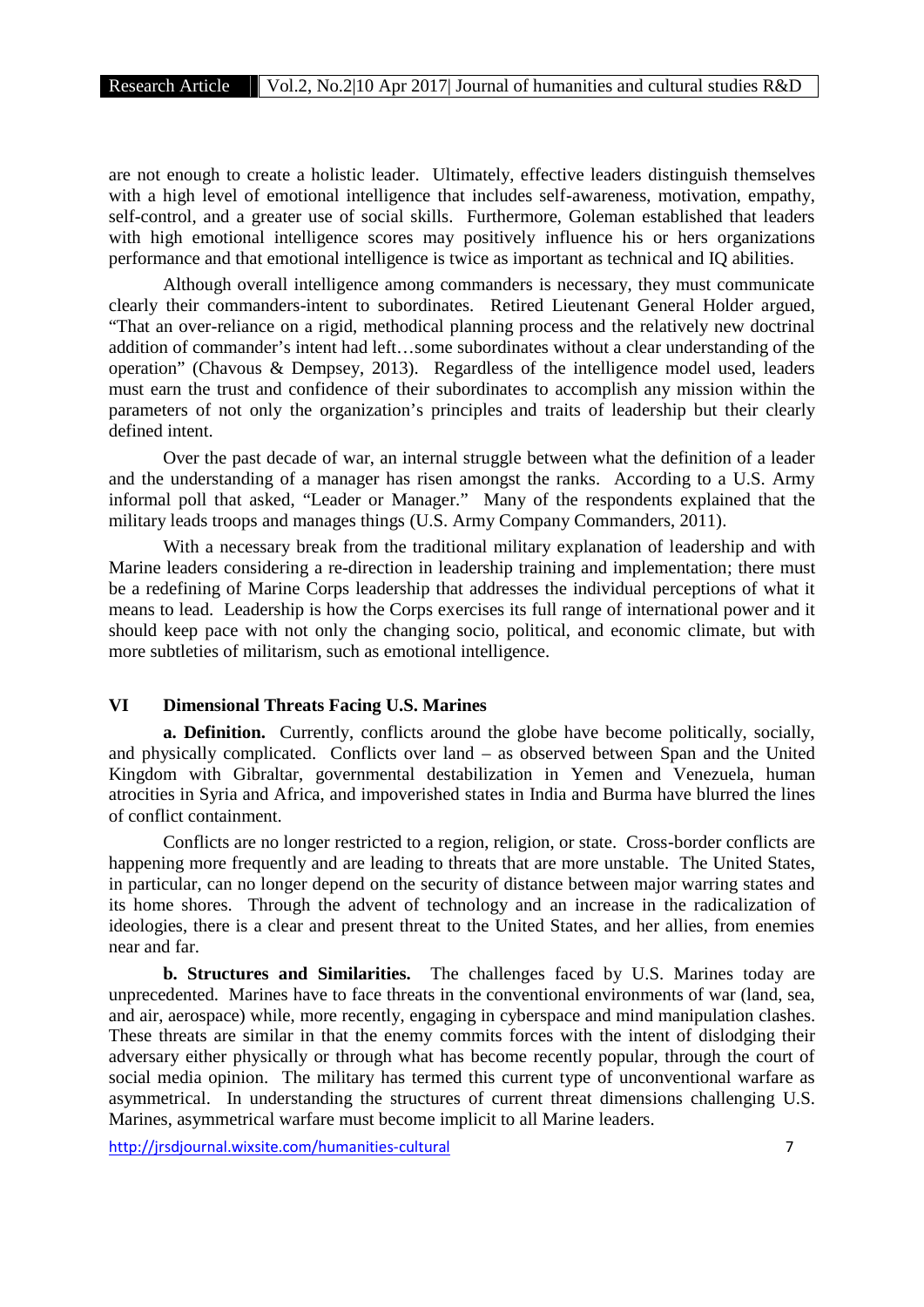are not enough to create a holistic leader. Ultimately, effective leaders distinguish themselves with a high level of emotional intelligence that includes self-awareness, motivation, empathy, self-control, and a greater use of social skills. Furthermore, Goleman established that leaders with high emotional intelligence scores may positively influence his or hers organizations performance and that emotional intelligence is twice as important as technical and IQ abilities.

Although overall intelligence among commanders is necessary, they must communicate clearly their commanders-intent to subordinates. Retired Lieutenant General Holder argued, "That an over-reliance on a rigid, methodical planning process and the relatively new doctrinal addition of commander's intent had left…some subordinates without a clear understanding of the operation" (Chavous & Dempsey, 2013). Regardless of the intelligence model used, leaders must earn the trust and confidence of their subordinates to accomplish any mission within the parameters of not only the organization's principles and traits of leadership but their clearly defined intent.

Over the past decade of war, an internal struggle between what the definition of a leader and the understanding of a manager has risen amongst the ranks. According to a U.S. Army informal poll that asked, "Leader or Manager." Many of the respondents explained that the military leads troops and manages things (U.S. Army Company Commanders, 2011).

With a necessary break from the traditional military explanation of leadership and with Marine leaders considering a re-direction in leadership training and implementation; there must be a redefining of Marine Corps leadership that addresses the individual perceptions of what it means to lead. Leadership is how the Corps exercises its full range of international power and it should keep pace with not only the changing socio, political, and economic climate, but with more subtleties of militarism, such as emotional intelligence.

# **VI Dimensional Threats Facing U.S. Marines**

**a. Definition.** Currently, conflicts around the globe have become politically, socially, and physically complicated. Conflicts over land – as observed between Span and the United Kingdom with Gibraltar, governmental destabilization in Yemen and Venezuela, human atrocities in Syria and Africa, and impoverished states in India and Burma have blurred the lines of conflict containment.

Conflicts are no longer restricted to a region, religion, or state. Cross-border conflicts are happening more frequently and are leading to threats that are more unstable. The United States, in particular, can no longer depend on the security of distance between major warring states and its home shores. Through the advent of technology and an increase in the radicalization of ideologies, there is a clear and present threat to the United States, and her allies, from enemies near and far.

**b. Structures and Similarities.** The challenges faced by U.S. Marines today are unprecedented. Marines have to face threats in the conventional environments of war (land, sea, and air, aerospace) while, more recently, engaging in cyberspace and mind manipulation clashes. These threats are similar in that the enemy commits forces with the intent of dislodging their adversary either physically or through what has become recently popular, through the court of social media opinion. The military has termed this current type of unconventional warfare as asymmetrical. In understanding the structures of current threat dimensions challenging U.S. Marines, asymmetrical warfare must become implicit to all Marine leaders.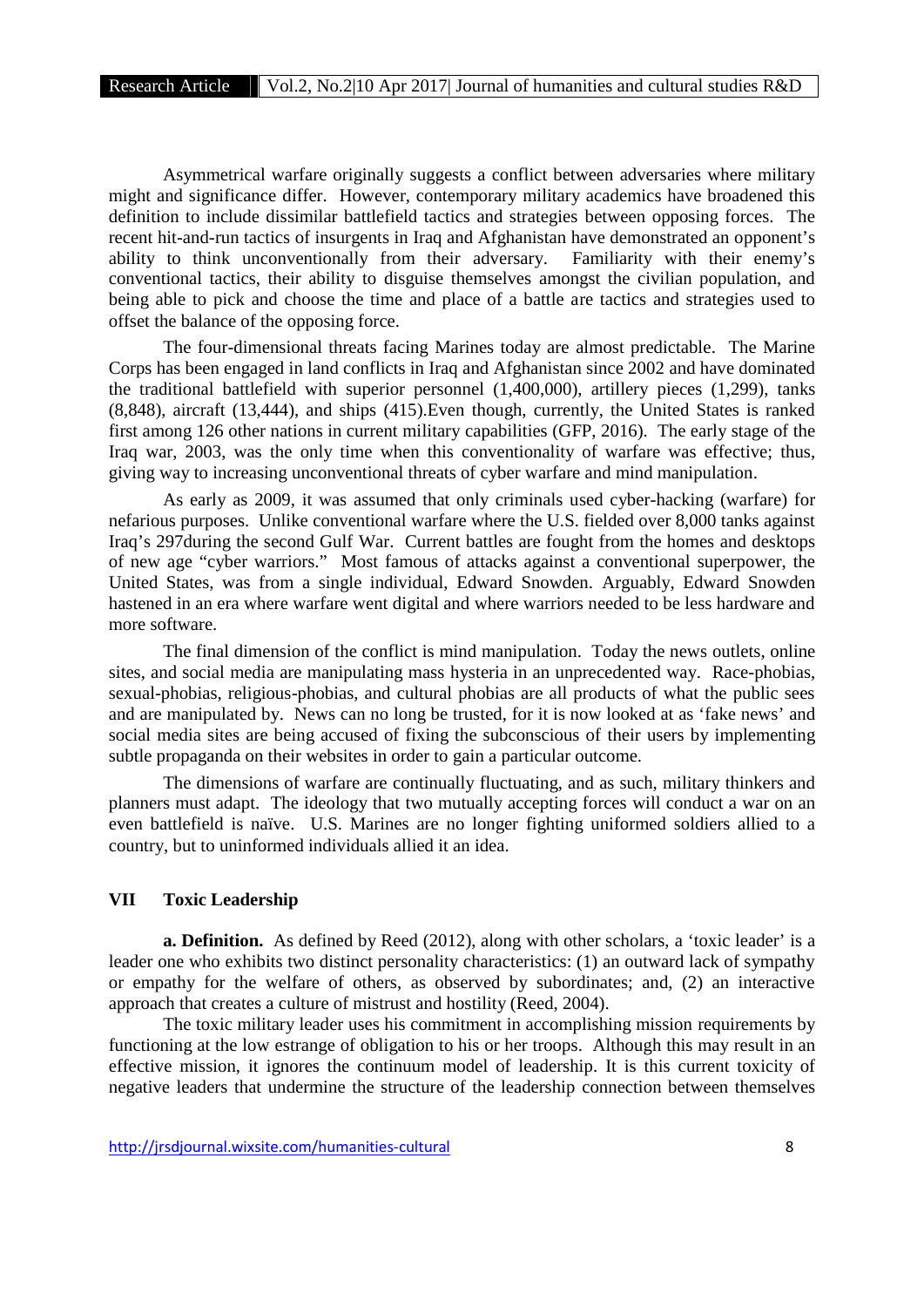Asymmetrical warfare originally suggests a conflict between adversaries where military might and significance differ. However, contemporary military academics have broadened this definition to include dissimilar battlefield tactics and strategies between opposing forces. The recent hit-and-run tactics of insurgents in Iraq and Afghanistan have demonstrated an opponent's ability to think unconventionally from their adversary. Familiarity with their enemy's conventional tactics, their ability to disguise themselves amongst the civilian population, and being able to pick and choose the time and place of a battle are tactics and strategies used to offset the balance of the opposing force.

The four-dimensional threats facing Marines today are almost predictable. The Marine Corps has been engaged in land conflicts in Iraq and Afghanistan since 2002 and have dominated the traditional battlefield with superior personnel (1,400,000), artillery pieces (1,299), tanks (8,848), aircraft (13,444), and ships (415).Even though, currently, the United States is ranked first among 126 other nations in current military capabilities (GFP, 2016). The early stage of the Iraq war, 2003, was the only time when this conventionality of warfare was effective; thus, giving way to increasing unconventional threats of cyber warfare and mind manipulation.

As early as 2009, it was assumed that only criminals used cyber-hacking (warfare) for nefarious purposes. Unlike conventional warfare where the U.S. fielded over 8,000 tanks against Iraq's 297during the second Gulf War. Current battles are fought from the homes and desktops of new age "cyber warriors." Most famous of attacks against a conventional superpower, the United States, was from a single individual, Edward Snowden. Arguably, Edward Snowden hastened in an era where warfare went digital and where warriors needed to be less hardware and more software.

The final dimension of the conflict is mind manipulation. Today the news outlets, online sites, and social media are manipulating mass hysteria in an unprecedented way. Race-phobias, sexual-phobias, religious-phobias, and cultural phobias are all products of what the public sees and are manipulated by. News can no long be trusted, for it is now looked at as 'fake news' and social media sites are being accused of fixing the subconscious of their users by implementing subtle propaganda on their websites in order to gain a particular outcome.

The dimensions of warfare are continually fluctuating, and as such, military thinkers and planners must adapt. The ideology that two mutually accepting forces will conduct a war on an even battlefield is naïve. U.S. Marines are no longer fighting uniformed soldiers allied to a country, but to uninformed individuals allied it an idea.

# **VII Toxic Leadership**

**a. Definition.** As defined by Reed (2012), along with other scholars, a 'toxic leader' is a leader one who exhibits two distinct personality characteristics: (1) an outward lack of sympathy or empathy for the welfare of others, as observed by subordinates; and, (2) an interactive approach that creates a culture of mistrust and hostility (Reed, 2004).

The toxic military leader uses his commitment in accomplishing mission requirements by functioning at the low estrange of obligation to his or her troops. Although this may result in an effective mission, it ignores the continuum model of leadership. It is this current toxicity of negative leaders that undermine the structure of the leadership connection between themselves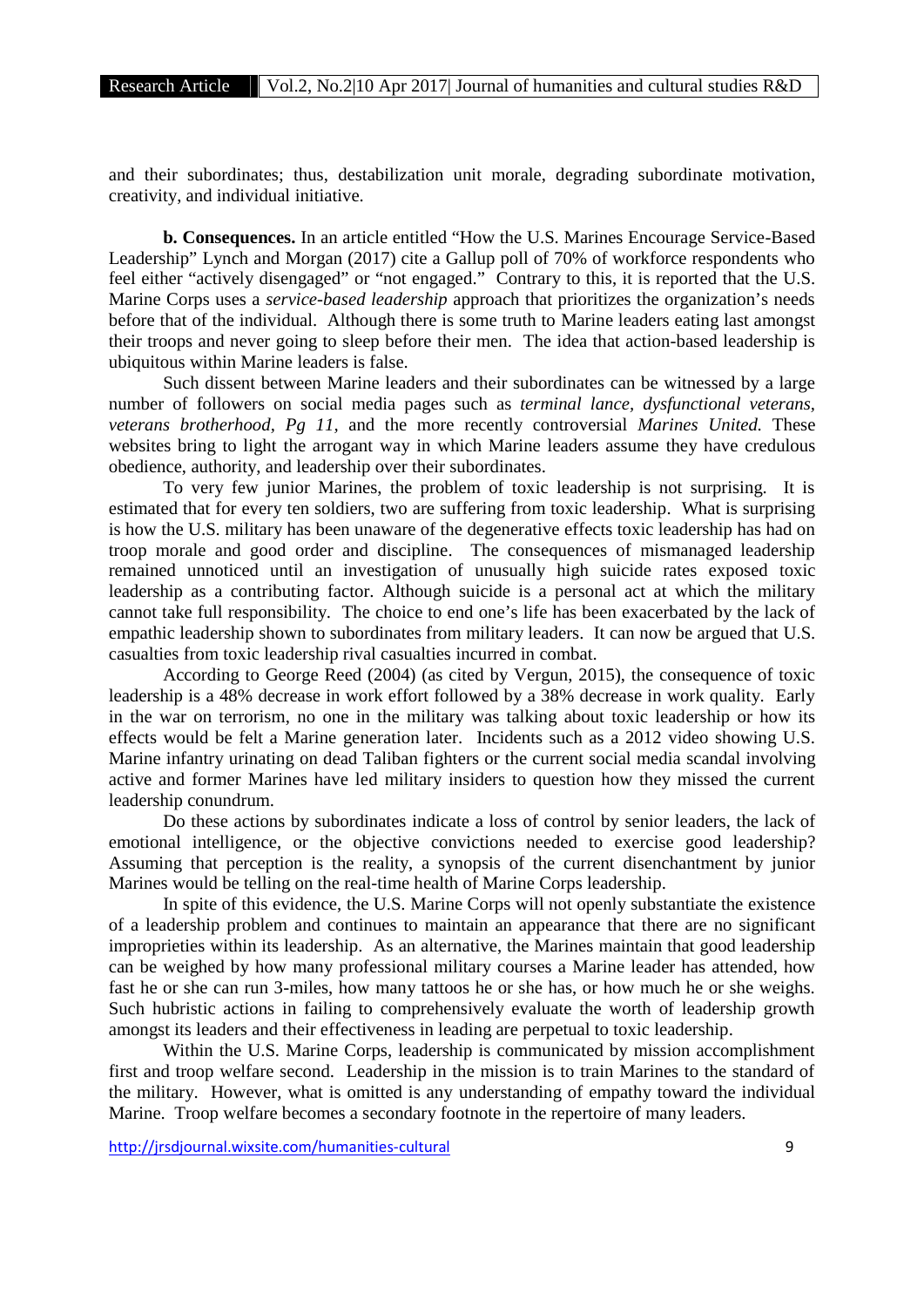and their subordinates; thus, destabilization unit morale, degrading subordinate motivation, creativity, and individual initiative.

**b. Consequences.** In an article entitled "How the U.S. Marines Encourage Service-Based Leadership" Lynch and Morgan (2017) cite a Gallup poll of 70% of workforce respondents who feel either "actively disengaged" or "not engaged." Contrary to this, it is reported that the U.S. Marine Corps uses a *service-based leadership* approach that prioritizes the organization's needs before that of the individual. Although there is some truth to Marine leaders eating last amongst their troops and never going to sleep before their men. The idea that action-based leadership is ubiquitous within Marine leaders is false.

Such dissent between Marine leaders and their subordinates can be witnessed by a large number of followers on social media pages such as *terminal lance, dysfunctional veterans, veterans brotherhood, Pg 11,* and the more recently controversial *Marines United.* These websites bring to light the arrogant way in which Marine leaders assume they have credulous obedience, authority, and leadership over their subordinates.

To very few junior Marines, the problem of toxic leadership is not surprising. It is estimated that for every ten soldiers, two are suffering from toxic leadership. What is surprising is how the U.S. military has been unaware of the degenerative effects toxic leadership has had on troop morale and good order and discipline. The consequences of mismanaged leadership remained unnoticed until an investigation of unusually high suicide rates exposed toxic leadership as a contributing factor. Although suicide is a personal act at which the military cannot take full responsibility. The choice to end one's life has been exacerbated by the lack of empathic leadership shown to subordinates from military leaders. It can now be argued that U.S. casualties from toxic leadership rival casualties incurred in combat.

According to George Reed (2004) (as cited by Vergun, 2015), the consequence of toxic leadership is a 48% decrease in work effort followed by a 38% decrease in work quality. Early in the war on terrorism, no one in the military was talking about toxic leadership or how its effects would be felt a Marine generation later. Incidents such as a 2012 video showing U.S. Marine infantry urinating on dead Taliban fighters or the current social media scandal involving active and former Marines have led military insiders to question how they missed the current leadership conundrum.

Do these actions by subordinates indicate a loss of control by senior leaders, the lack of emotional intelligence, or the objective convictions needed to exercise good leadership? Assuming that perception is the reality, a synopsis of the current disenchantment by junior Marines would be telling on the real-time health of Marine Corps leadership.

In spite of this evidence, the U.S. Marine Corps will not openly substantiate the existence of a leadership problem and continues to maintain an appearance that there are no significant improprieties within its leadership. As an alternative, the Marines maintain that good leadership can be weighed by how many professional military courses a Marine leader has attended, how fast he or she can run 3-miles, how many tattoos he or she has, or how much he or she weighs. Such hubristic actions in failing to comprehensively evaluate the worth of leadership growth amongst its leaders and their effectiveness in leading are perpetual to toxic leadership.

Within the U.S. Marine Corps, leadership is communicated by mission accomplishment first and troop welfare second. Leadership in the mission is to train Marines to the standard of the military. However, what is omitted is any understanding of empathy toward the individual Marine. Troop welfare becomes a secondary footnote in the repertoire of many leaders.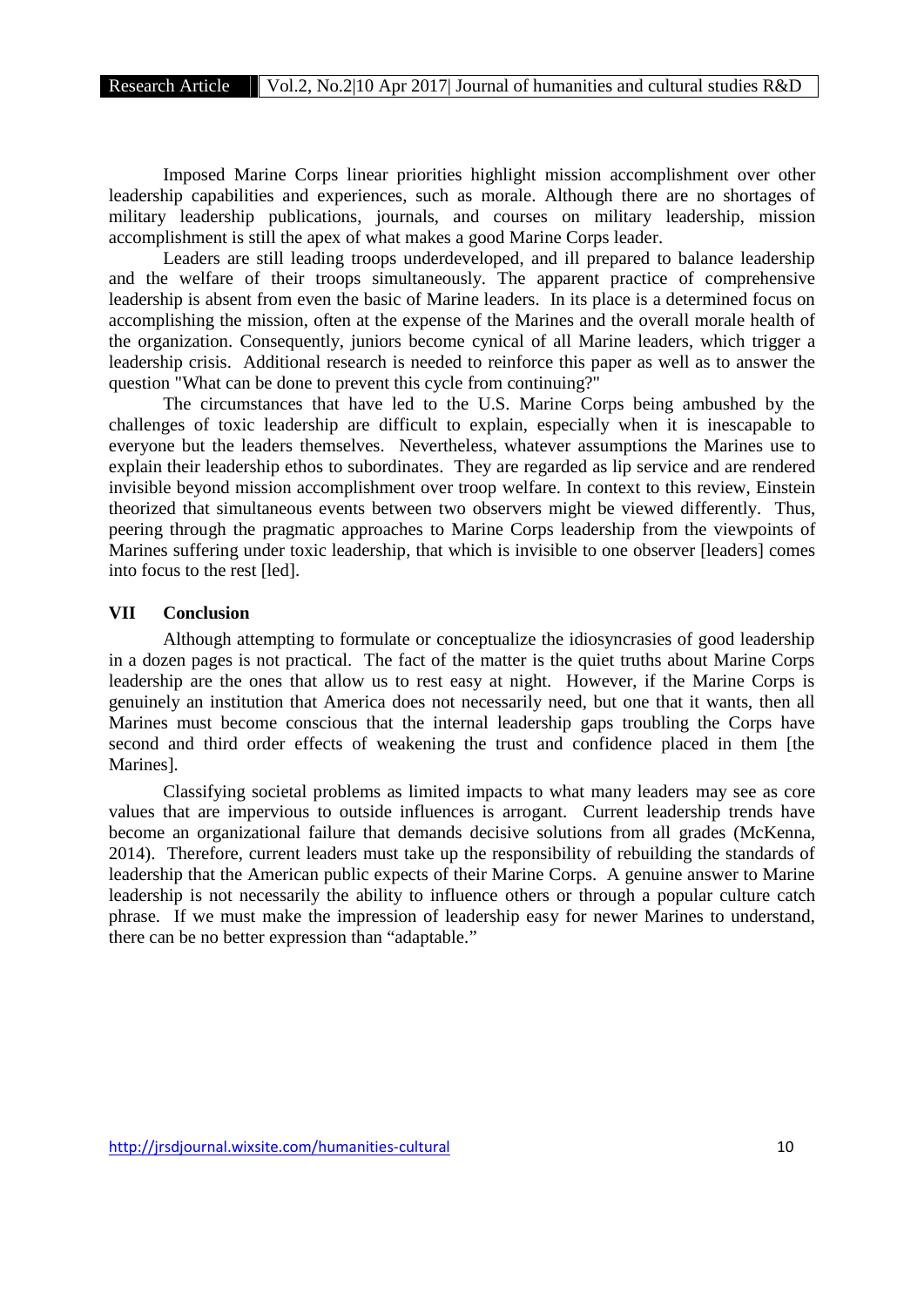Imposed Marine Corps linear priorities highlight mission accomplishment over other leadership capabilities and experiences, such as morale. Although there are no shortages of military leadership publications, journals, and courses on military leadership, mission accomplishment is still the apex of what makes a good Marine Corps leader.

Leaders are still leading troops underdeveloped, and ill prepared to balance leadership and the welfare of their troops simultaneously. The apparent practice of comprehensive leadership is absent from even the basic of Marine leaders. In its place is a determined focus on accomplishing the mission, often at the expense of the Marines and the overall morale health of the organization. Consequently, juniors become cynical of all Marine leaders, which trigger a leadership crisis. Additional research is needed to reinforce this paper as well as to answer the question "What can be done to prevent this cycle from continuing?"

The circumstances that have led to the U.S. Marine Corps being ambushed by the challenges of toxic leadership are difficult to explain, especially when it is inescapable to everyone but the leaders themselves. Nevertheless, whatever assumptions the Marines use to explain their leadership ethos to subordinates. They are regarded as lip service and are rendered invisible beyond mission accomplishment over troop welfare. In context to this review, Einstein theorized that simultaneous events between two observers might be viewed differently. Thus, peering through the pragmatic approaches to Marine Corps leadership from the viewpoints of Marines suffering under toxic leadership, that which is invisible to one observer [leaders] comes into focus to the rest [led].

#### **VII Conclusion**

Although attempting to formulate or conceptualize the idiosyncrasies of good leadership in a dozen pages is not practical. The fact of the matter is the quiet truths about Marine Corps leadership are the ones that allow us to rest easy at night. However, if the Marine Corps is genuinely an institution that America does not necessarily need, but one that it wants, then all Marines must become conscious that the internal leadership gaps troubling the Corps have second and third order effects of weakening the trust and confidence placed in them [the Marines].

Classifying societal problems as limited impacts to what many leaders may see as core values that are impervious to outside influences is arrogant. Current leadership trends have become an organizational failure that demands decisive solutions from all grades (McKenna, 2014). Therefore, current leaders must take up the responsibility of rebuilding the standards of leadership that the American public expects of their Marine Corps. A genuine answer to Marine leadership is not necessarily the ability to influence others or through a popular culture catch phrase. If we must make the impression of leadership easy for newer Marines to understand, there can be no better expression than "adaptable."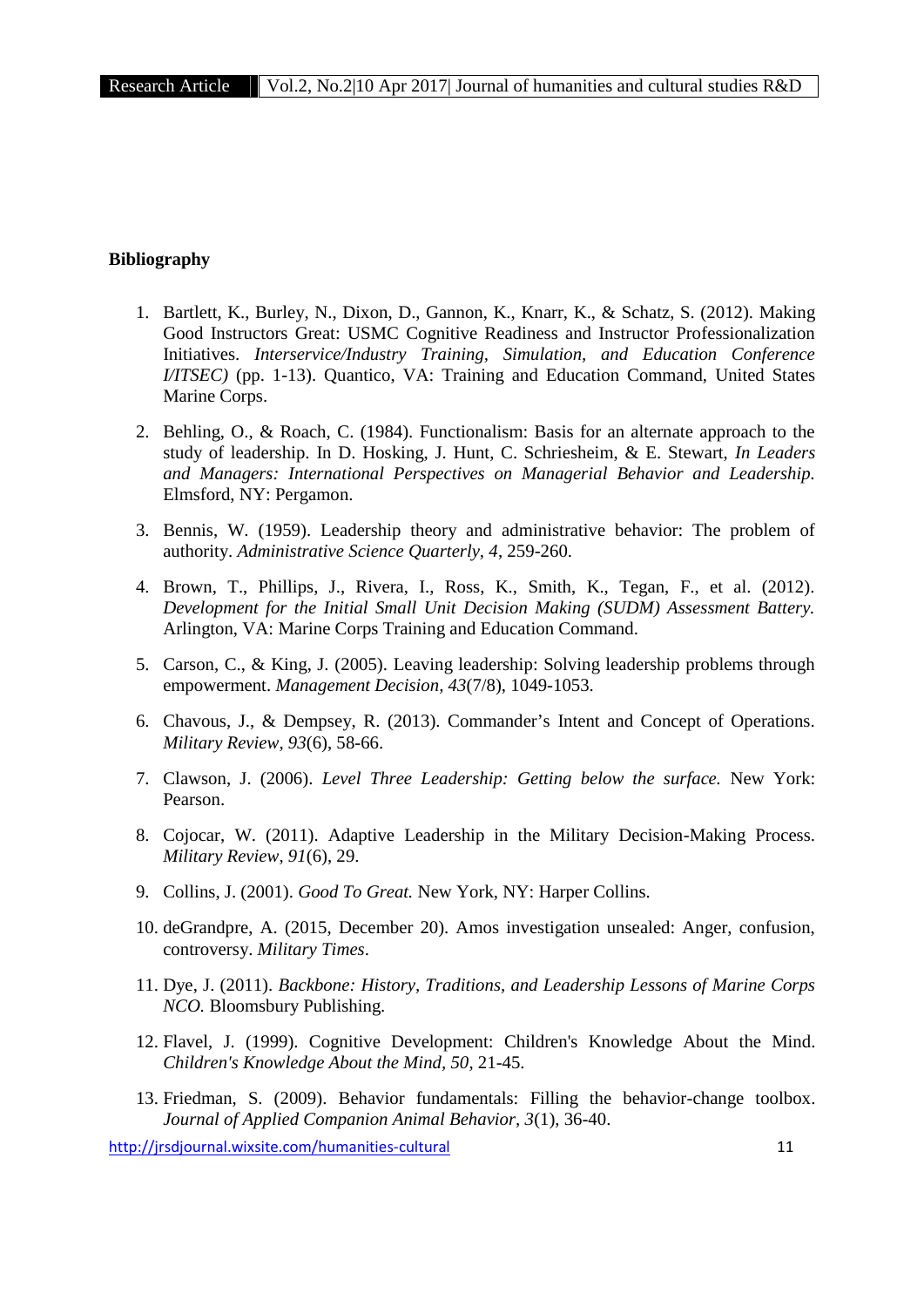# **Bibliography**

- 1. Bartlett, K., Burley, N., Dixon, D., Gannon, K., Knarr, K., & Schatz, S. (2012). Making Good Instructors Great: USMC Cognitive Readiness and Instructor Professionalization Initiatives. *Interservice/Industry Training, Simulation, and Education Conference I/ITSEC)* (pp. 1-13). Quantico, VA: Training and Education Command, United States Marine Corps.
- 2. Behling, O., & Roach, C. (1984). Functionalism: Basis for an alternate approach to the study of leadership. In D. Hosking, J. Hunt, C. Schriesheim, & E. Stewart, *In Leaders and Managers: International Perspectives on Managerial Behavior and Leadership.* Elmsford, NY: Pergamon.
- 3. Bennis, W. (1959). Leadership theory and administrative behavior: The problem of authority. *Administrative Science Quarterly, 4*, 259-260.
- 4. Brown, T., Phillips, J., Rivera, I., Ross, K., Smith, K., Tegan, F., et al. (2012). *Development for the Initial Small Unit Decision Making (SUDM) Assessment Battery.* Arlington, VA: Marine Corps Training and Education Command.
- 5. Carson, C., & King, J. (2005). Leaving leadership: Solving leadership problems through empowerment. *Management Decision, 43*(7/8), 1049-1053.
- 6. Chavous, J., & Dempsey, R. (2013). Commander's Intent and Concept of Operations. *Military Review, 93*(6), 58-66.
- 7. Clawson, J. (2006). *Level Three Leadership: Getting below the surface.* New York: Pearson.
- 8. Cojocar, W. (2011). Adaptive Leadership in the Military Decision-Making Process. *Military Review, 91*(6), 29.
- 9. Collins, J. (2001). *Good To Great.* New York, NY: Harper Collins.
- 10. deGrandpre, A. (2015, December 20). Amos investigation unsealed: Anger, confusion, controversy. *Military Times*.
- 11. Dye, J. (2011). *Backbone: History, Traditions, and Leadership Lessons of Marine Corps NCO.* Bloomsbury Publishing.
- 12. Flavel, J. (1999). Cognitive Development: Children's Knowledge About the Mind. *Children's Knowledge About the Mind, 50*, 21-45.
- 13. Friedman, S. (2009). Behavior fundamentals: Filling the behavior-change toolbox. *Journal of Applied Companion Animal Behavior, 3*(1), 36-40.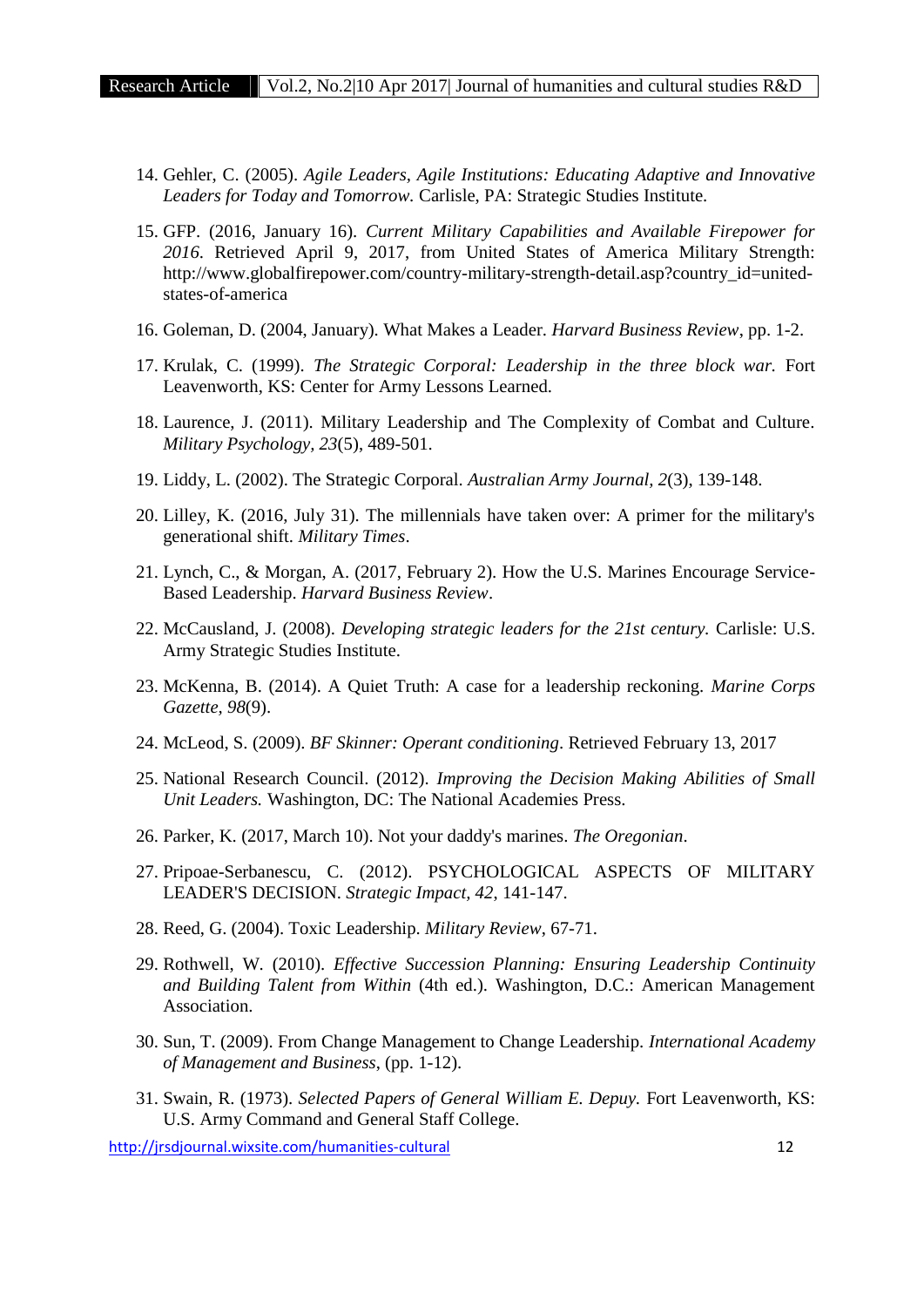- 14. Gehler, C. (2005). *Agile Leaders, Agile Institutions: Educating Adaptive and Innovative Leaders for Today and Tomorrow.* Carlisle, PA: Strategic Studies Institute.
- 15. GFP. (2016, January 16). *Current Military Capabilities and Available Firepower for 2016*. Retrieved April 9, 2017, from United States of America Military Strength: http://www.globalfirepower.com/country-military-strength-detail.asp?country\_id=united states-of-america
- 16. Goleman, D. (2004, January). What Makes a Leader. *Harvard Business Review*, pp. 1-2.
- 17. Krulak, C. (1999). *The Strategic Corporal: Leadership in the three block war.* Fort Leavenworth, KS: Center for Army Lessons Learned.
- 18. Laurence, J. (2011). Military Leadership and The Complexity of Combat and Culture. *Military Psychology, 23*(5), 489-501.
- 19. Liddy, L. (2002). The Strategic Corporal. *Australian Army Journal, 2*(3), 139-148.
- 20. Lilley, K. (2016, July 31). The millennials have taken over: A primer for the military's generational shift. *Military Times*.
- 21. Lynch, C., & Morgan, A. (2017, February 2). How the U.S. Marines Encourage Service- Based Leadership. *Harvard Business Review*.
- 22. McCausland, J. (2008). *Developing strategic leaders for the 21st century.* Carlisle: U.S. Army Strategic Studies Institute.
- 23. McKenna, B. (2014). A Quiet Truth: A case for a leadership reckoning. *Marine Corps Gazette, 98*(9).
- 24. McLeod, S. (2009). *BF Skinner: Operant conditioning*. Retrieved February 13, 2017
- 25. National Research Council. (2012). *Improving the Decision Making Abilities of Small Unit Leaders.* Washington, DC: The National Academies Press.
- 26. Parker, K. (2017, March 10). Not your daddy's marines. *The Oregonian*.
- 27. Pripoae-Serbanescu, C. (2012). PSYCHOLOGICAL ASPECTS OF MILITARY LEADER'S DECISION. *Strategic Impact, 42*, 141-147.
- 28. Reed, G. (2004). Toxic Leadership. *Military Review*, 67-71.
- 29. Rothwell, W. (2010). *Effective Succession Planning: Ensuring Leadership Continuity and Building Talent from Within* (4th ed.). Washington, D.C.: American Management Association.
- 30. Sun, T. (2009). From Change Management to Change Leadership. *International Academy of Management and Business*, (pp. 1-12).
- 31. Swain, R. (1973). *Selected Papers of General William E. Depuy.* Fort Leavenworth, KS: U.S. Army Command and General Staff College.